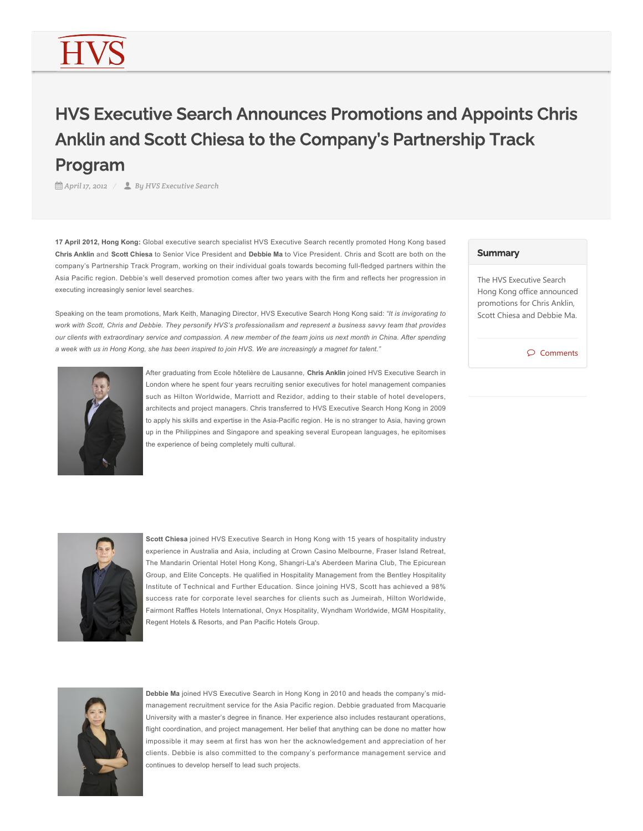## HVS Executive Search Announces Promotions and Appoints Chris Anklin and Scott Chiesa to the Company's Partnership Track Program

*April 17, 2012 By HVS Executive Search*

**17 April 2012, Hong Kong:** Global executive search specialist HVS Executive Search recently promoted Hong Kong based **Chris Anklin** and **Scott Chiesa** to Senior Vice President and **Debbie Ma** to Vice President. Chris and Scott are both on the company's Partnership Track Program, working on their individual goals towards becoming full-fledged partners within the Asia Pacific region. Debbie's well deserved promotion comes after two years with the firm and reflects her progression in executing increasingly senior level searches.

Speaking on the team promotions, Mark Keith, Managing Director, HVS Executive Search Hong Kong said: *"It is invigorating to work with Scott, Chris and Debbie. They personify HVS's professionalism and represent a business savvy team that provides our clients with extraordinary service and compassion. A new member of the team joins us next month in China. After spending a week with us in Hong Kong, she has been inspired to join HVS. We are increasingly a magnet for talent."*



After graduating from Ecole hôtelière de Lausanne, **Chris Anklin** joined HVS Executive Search in London where he spent four years recruiting senior executives for hotel management companies such as Hilton Worldwide, Marriott and Rezidor, adding to their stable of hotel developers, architects and project managers. Chris transferred to HVS Executive Search Hong Kong in 2009 to apply his skills and expertise in the Asia-Pacific region. He is no stranger to Asia, having grown up in the Philippines and Singapore and speaking several European languages, he epitomises the experience of being completely multi cultural.



The HVS Executive Search Hong Kong office announced promotions for Chris Anklin, Scott Chiesa and Debbie Ma.

Comments



**Scott Chiesa** joined HVS Executive Search in Hong Kong with 15 years of hospitality industry experience in Australia and Asia, including at Crown Casino Melbourne, Fraser Island Retreat, The Mandarin Oriental Hotel Hong Kong, Shangri-La's Aberdeen Marina Club, The Epicurean Group, and Elite Concepts. He qualified in Hospitality Management from the Bentley Hospitality Institute of Technical and Further Education. Since joining HVS, Scott has achieved a 98% success rate for corporate level searches for clients such as Jumeirah, Hilton Worldwide, Fairmont Raffles Hotels International, Onyx Hospitality, Wyndham Worldwide, MGM Hospitality, Regent Hotels & Resorts, and Pan Pacific Hotels Group.



**Debbie Ma** joined HVS Executive Search in Hong Kong in 2010 and heads the company's midmanagement recruitment service for the Asia Pacific region. Debbie graduated from Macquarie University with a master's degree in finance. Her experience also includes restaurant operations, flight coordination, and project management. Her belief that anything can be done no matter how impossible it may seem at first has won her the acknowledgement and appreciation of her clients. Debbie is also committed to the company's performance management service and continues to develop herself to lead such projects.